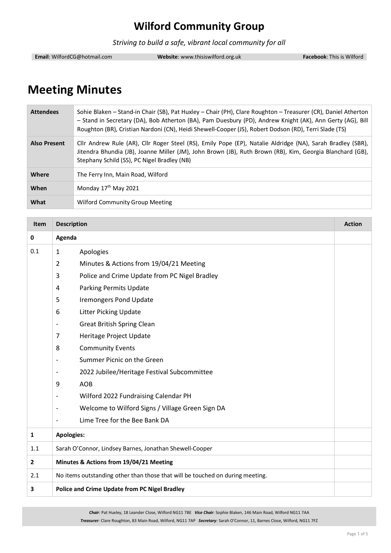*Striving to build a safe, vibrant local community for all*

**Email**: WilfordCG@hotmail.com **Website**: www.thisiswilford.org.uk **Facebook**: This is Wilford

# **Meeting Minutes**

| <b>Attendees</b>    | Sohie Blaken – Stand-in Chair (SB), Pat Huxley – Chair (PH), Clare Roughton – Treasurer (CR), Daniel Atherton<br>- Stand in Secretary (DA), Bob Atherton (BA), Pam Duesbury (PD), Andrew Knight (AK), Ann Gerty (AG), Bill<br>Roughton (BR), Cristian Nardoni (CN), Heidi Shewell-Cooper (JS), Robert Dodson (RD), Terri Slade (TS) |
|---------------------|-------------------------------------------------------------------------------------------------------------------------------------------------------------------------------------------------------------------------------------------------------------------------------------------------------------------------------------|
| <b>Also Present</b> | Cllr Andrew Rule (AR), Cllr Roger Steel (RS), Emily Pope (EP), Natalie Aldridge (NA), Sarah Bradley (SBR),<br>Jitendra Bhundia (JB), Joanne Miller (JM), John Brown (JB), Ruth Brown (RB), Kim, Georgia Blanchard (GB),<br>Stephany Schild (SS), PC Nigel Bradley (NB)                                                              |
| Where               | The Ferry Inn, Main Road, Wilford                                                                                                                                                                                                                                                                                                   |
| When                | Monday 17 <sup>th</sup> May 2021                                                                                                                                                                                                                                                                                                    |
| What                | <b>Wilford Community Group Meeting</b>                                                                                                                                                                                                                                                                                              |

| <b>Item</b>    | <b>Description</b><br><b>Action</b>                                           |                                                  |  |
|----------------|-------------------------------------------------------------------------------|--------------------------------------------------|--|
| 0              | Agenda                                                                        |                                                  |  |
| 0.1            | Apologies<br>$\mathbf{1}$                                                     |                                                  |  |
|                | $\overline{2}$                                                                | Minutes & Actions from 19/04/21 Meeting          |  |
|                | 3                                                                             | Police and Crime Update from PC Nigel Bradley    |  |
|                | 4                                                                             | <b>Parking Permits Update</b>                    |  |
|                | 5                                                                             | <b>Iremongers Pond Update</b>                    |  |
|                | 6                                                                             | <b>Litter Picking Update</b>                     |  |
|                |                                                                               | <b>Great British Spring Clean</b>                |  |
|                | $\overline{7}$                                                                | Heritage Project Update                          |  |
|                | 8                                                                             | <b>Community Events</b>                          |  |
|                | $\overline{\phantom{a}}$                                                      | Summer Picnic on the Green                       |  |
|                |                                                                               | 2022 Jubilee/Heritage Festival Subcommittee      |  |
|                | 9                                                                             | <b>AOB</b>                                       |  |
|                |                                                                               | Wilford 2022 Fundraising Calendar PH             |  |
|                | $\overline{\phantom{0}}$                                                      | Welcome to Wilford Signs / Village Green Sign DA |  |
|                | $\overline{\phantom{a}}$                                                      | Lime Tree for the Bee Bank DA                    |  |
| $\mathbf{1}$   | <b>Apologies:</b>                                                             |                                                  |  |
| 1.1            | Sarah O'Connor, Lindsey Barnes, Jonathan Shewell-Cooper                       |                                                  |  |
| $\overline{2}$ | Minutes & Actions from 19/04/21 Meeting                                       |                                                  |  |
| 2.1            | No items outstanding other than those that will be touched on during meeting. |                                                  |  |
| 3              | <b>Police and Crime Update from PC Nigel Bradley</b>                          |                                                  |  |

*Chair:* Pat Huxley, 18 Leander Close, Wilford NG11 7BE *Vice Chair:* Sophie Blaken, 146 Main Road, Wilford NG11 7AA

*Treasurer:* Clare Roughton, 83 Main Road, Wilford, NG11 7AP *Secretary:* Sarah O'Connor, 11, Barnes Close, Wilford, NG11 7FZ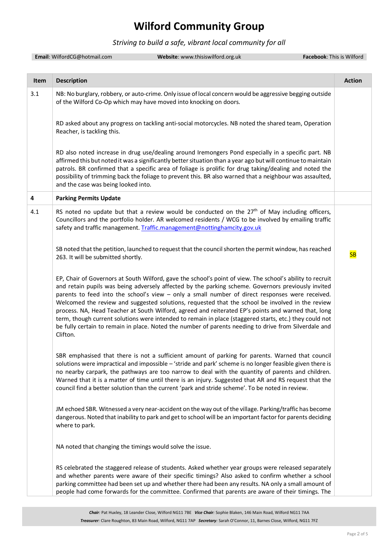#### *Striving to build a safe, vibrant local community for all*

|      | Email: WilfordCG@hotmail.com                              | Website: www.thisiswilford.org.uk                                                                                                                                                                                                                                                                                                                                                                                                                                                                                                                                                                                                                                                                                                                 | Facebook: This is Wilford |               |
|------|-----------------------------------------------------------|---------------------------------------------------------------------------------------------------------------------------------------------------------------------------------------------------------------------------------------------------------------------------------------------------------------------------------------------------------------------------------------------------------------------------------------------------------------------------------------------------------------------------------------------------------------------------------------------------------------------------------------------------------------------------------------------------------------------------------------------------|---------------------------|---------------|
|      |                                                           |                                                                                                                                                                                                                                                                                                                                                                                                                                                                                                                                                                                                                                                                                                                                                   |                           |               |
| Item | <b>Description</b>                                        |                                                                                                                                                                                                                                                                                                                                                                                                                                                                                                                                                                                                                                                                                                                                                   |                           | <b>Action</b> |
| 3.1  |                                                           | NB: No burglary, robbery, or auto-crime. Only issue of local concern would be aggressive begging outside<br>of the Wilford Co-Op which may have moved into knocking on doors.                                                                                                                                                                                                                                                                                                                                                                                                                                                                                                                                                                     |                           |               |
|      | Reacher, is tackling this.                                | RD asked about any progress on tackling anti-social motorcycles. NB noted the shared team, Operation                                                                                                                                                                                                                                                                                                                                                                                                                                                                                                                                                                                                                                              |                           |               |
|      | and the case was being looked into.                       | RD also noted increase in drug use/dealing around Iremongers Pond especially in a specific part. NB<br>affirmed this but noted it was a significantly better situation than a year ago but will continue to maintain<br>patrols. BR confirmed that a specific area of foliage is prolific for drug taking/dealing and noted the<br>possibility of trimming back the foliage to prevent this. BR also warned that a neighbour was assaulted,                                                                                                                                                                                                                                                                                                       |                           |               |
| 4    | <b>Parking Permits Update</b>                             |                                                                                                                                                                                                                                                                                                                                                                                                                                                                                                                                                                                                                                                                                                                                                   |                           |               |
| 4.1  |                                                           | RS noted no update but that a review would be conducted on the $27th$ of May including officers,<br>Councillors and the portfolio holder. AR welcomed residents / WCG to be involved by emailing traffic<br>safety and traffic management. Traffic.management@nottinghamcity.gov.uk                                                                                                                                                                                                                                                                                                                                                                                                                                                               |                           |               |
|      | 263. It will be submitted shortly.                        | SB noted that the petition, launched to request that the council shorten the permit window, has reached                                                                                                                                                                                                                                                                                                                                                                                                                                                                                                                                                                                                                                           |                           | <b>SB</b>     |
|      | Clifton.                                                  | EP, Chair of Governors at South Wilford, gave the school's point of view. The school's ability to recruit<br>and retain pupils was being adversely affected by the parking scheme. Governors previously invited<br>parents to feed into the school's view - only a small number of direct responses were received.<br>Welcomed the review and suggested solutions, requested that the school be involved in the review<br>process. NA, Head Teacher at South Wilford, agreed and reiterated EP's points and warned that, long<br>term, though current solutions were intended to remain in place (staggered starts, etc.) they could not<br>be fully certain to remain in place. Noted the number of parents needing to drive from Silverdale and |                           |               |
|      |                                                           | SBR emphasised that there is not a sufficient amount of parking for parents. Warned that council<br>solutions were impractical and impossible - 'stride and park' scheme is no longer feasible given there is<br>no nearby carpark, the pathways are too narrow to deal with the quantity of parents and children.<br>Warned that it is a matter of time until there is an injury. Suggested that AR and RS request that the<br>council find a better solution than the current 'park and stride scheme'. To be noted in review.                                                                                                                                                                                                                  |                           |               |
|      | where to park.                                            | JM echoed SBR. Witnessed a very near-accident on the way out of the village. Parking/traffic has become<br>dangerous. Noted that inability to park and get to school will be an important factor for parents deciding                                                                                                                                                                                                                                                                                                                                                                                                                                                                                                                             |                           |               |
|      | NA noted that changing the timings would solve the issue. |                                                                                                                                                                                                                                                                                                                                                                                                                                                                                                                                                                                                                                                                                                                                                   |                           |               |
|      |                                                           | RS celebrated the staggered release of students. Asked whether year groups were released separately<br>and whether parents were aware of their specific timings? Also asked to confirm whether a school<br>parking committee had been set up and whether there had been any results. NA only a small amount of<br>people had come forwards for the committee. Confirmed that parents are aware of their timings. The                                                                                                                                                                                                                                                                                                                              |                           |               |
|      |                                                           |                                                                                                                                                                                                                                                                                                                                                                                                                                                                                                                                                                                                                                                                                                                                                   |                           |               |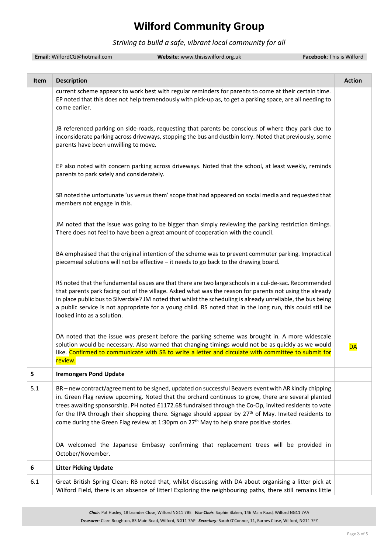#### *Striving to build a safe, vibrant local community for all*

|      | Email: WilfordCG@hotmail.com              | Website: www.thisiswilford.org.uk                                                                                                                                                                                                                                                                                                                                                                                                                                                                                                      | Facebook: This is Wilford |
|------|-------------------------------------------|----------------------------------------------------------------------------------------------------------------------------------------------------------------------------------------------------------------------------------------------------------------------------------------------------------------------------------------------------------------------------------------------------------------------------------------------------------------------------------------------------------------------------------------|---------------------------|
| Item | <b>Description</b>                        |                                                                                                                                                                                                                                                                                                                                                                                                                                                                                                                                        | <b>Action</b>             |
|      | come earlier.                             | current scheme appears to work best with regular reminders for parents to come at their certain time.<br>EP noted that this does not help tremendously with pick-up as, to get a parking space, are all needing to                                                                                                                                                                                                                                                                                                                     |                           |
|      | parents have been unwilling to move.      | JB referenced parking on side-roads, requesting that parents be conscious of where they park due to<br>inconsiderate parking across driveways, stopping the bus and dustbin lorry. Noted that previously, some                                                                                                                                                                                                                                                                                                                         |                           |
|      | parents to park safely and considerately. | EP also noted with concern parking across driveways. Noted that the school, at least weekly, reminds                                                                                                                                                                                                                                                                                                                                                                                                                                   |                           |
|      | members not engage in this.               | SB noted the unfortunate 'us versus them' scope that had appeared on social media and requested that                                                                                                                                                                                                                                                                                                                                                                                                                                   |                           |
|      |                                           | JM noted that the issue was going to be bigger than simply reviewing the parking restriction timings.<br>There does not feel to have been a great amount of cooperation with the council.                                                                                                                                                                                                                                                                                                                                              |                           |
|      |                                           | BA emphasised that the original intention of the scheme was to prevent commuter parking. Impractical<br>piecemeal solutions will not be effective - it needs to go back to the drawing board.                                                                                                                                                                                                                                                                                                                                          |                           |
|      | looked into as a solution.                | RS noted that the fundamental issues are that there are two large schools in a cul-de-sac. Recommended<br>that parents park facing out of the village. Asked what was the reason for parents not using the already<br>in place public bus to Silverdale? JM noted that whilst the scheduling is already unreliable, the bus being<br>a public service is not appropriate for a young child. RS noted that in the long run, this could still be                                                                                         |                           |
|      | review.                                   | DA noted that the issue was present before the parking scheme was brought in. A more widescale<br>solution would be necessary. Also warned that changing timings would not be as quickly as we would<br>like. Confirmed to communicate with SB to write a letter and circulate with committee to submit for                                                                                                                                                                                                                            | <b>DA</b>                 |
| 5    | <b>Iremongers Pond Update</b>             |                                                                                                                                                                                                                                                                                                                                                                                                                                                                                                                                        |                           |
| 5.1  |                                           | BR - new contract/agreement to be signed, updated on successful Beavers event with AR kindly chipping<br>in. Green Flag review upcoming. Noted that the orchard continues to grow, there are several planted<br>trees awaiting sponsorship. PH noted £1172.68 fundraised through the Co-Op, invited residents to vote<br>for the IPA through their shopping there. Signage should appear by $27th$ of May. Invited residents to<br>come during the Green Flag review at 1:30pm on 27 <sup>th</sup> May to help share positive stories. |                           |
|      | October/November.                         | DA welcomed the Japanese Embassy confirming that replacement trees will be provided in                                                                                                                                                                                                                                                                                                                                                                                                                                                 |                           |
| 6    | <b>Litter Picking Update</b>              |                                                                                                                                                                                                                                                                                                                                                                                                                                                                                                                                        |                           |
| 6.1  |                                           | Great British Spring Clean: RB noted that, whilst discussing with DA about organising a litter pick at<br>Wilford Field, there is an absence of litter! Exploring the neighbouring paths, there still remains little                                                                                                                                                                                                                                                                                                                   |                           |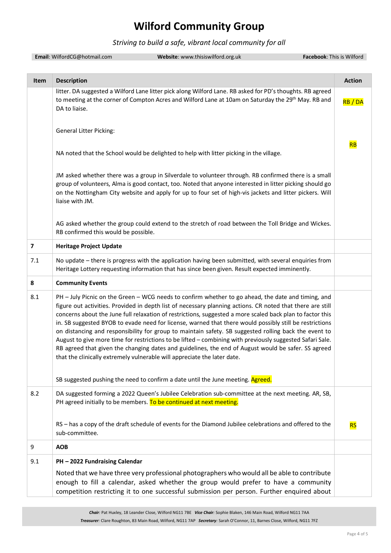#### *Striving to build a safe, vibrant local community for all*

|      | Email: WilfordCG@hotmail.com<br>Website: www.thisiswilford.org.uk                                                                                                                                                                                                                                                                                                                                                                                                                                                                                                                                                                                                                                                                                                                                                                                                                                                                    | Facebook: This is Wilford |
|------|--------------------------------------------------------------------------------------------------------------------------------------------------------------------------------------------------------------------------------------------------------------------------------------------------------------------------------------------------------------------------------------------------------------------------------------------------------------------------------------------------------------------------------------------------------------------------------------------------------------------------------------------------------------------------------------------------------------------------------------------------------------------------------------------------------------------------------------------------------------------------------------------------------------------------------------|---------------------------|
|      |                                                                                                                                                                                                                                                                                                                                                                                                                                                                                                                                                                                                                                                                                                                                                                                                                                                                                                                                      |                           |
| Item | <b>Description</b>                                                                                                                                                                                                                                                                                                                                                                                                                                                                                                                                                                                                                                                                                                                                                                                                                                                                                                                   | <b>Action</b>             |
|      | litter. DA suggested a Wilford Lane litter pick along Wilford Lane. RB asked for PD's thoughts. RB agreed<br>to meeting at the corner of Compton Acres and Wilford Lane at 10am on Saturday the 29 <sup>th</sup> May. RB and<br>DA to liaise.                                                                                                                                                                                                                                                                                                                                                                                                                                                                                                                                                                                                                                                                                        | RB/DA                     |
|      | <b>General Litter Picking:</b>                                                                                                                                                                                                                                                                                                                                                                                                                                                                                                                                                                                                                                                                                                                                                                                                                                                                                                       |                           |
|      | NA noted that the School would be delighted to help with litter picking in the village.                                                                                                                                                                                                                                                                                                                                                                                                                                                                                                                                                                                                                                                                                                                                                                                                                                              | <b>RB</b>                 |
|      | JM asked whether there was a group in Silverdale to volunteer through. RB confirmed there is a small<br>group of volunteers, Alma is good contact, too. Noted that anyone interested in litter picking should go<br>on the Nottingham City website and apply for up to four set of high-vis jackets and litter pickers. Will<br>liaise with JM.                                                                                                                                                                                                                                                                                                                                                                                                                                                                                                                                                                                      |                           |
|      | AG asked whether the group could extend to the stretch of road between the Toll Bridge and Wickes.<br>RB confirmed this would be possible.                                                                                                                                                                                                                                                                                                                                                                                                                                                                                                                                                                                                                                                                                                                                                                                           |                           |
| 7    | <b>Heritage Project Update</b>                                                                                                                                                                                                                                                                                                                                                                                                                                                                                                                                                                                                                                                                                                                                                                                                                                                                                                       |                           |
| 7.1  | No update - there is progress with the application having been submitted, with several enquiries from<br>Heritage Lottery requesting information that has since been given. Result expected imminently.                                                                                                                                                                                                                                                                                                                                                                                                                                                                                                                                                                                                                                                                                                                              |                           |
| 8    | <b>Community Events</b>                                                                                                                                                                                                                                                                                                                                                                                                                                                                                                                                                                                                                                                                                                                                                                                                                                                                                                              |                           |
| 8.1  | PH - July Picnic on the Green - WCG needs to confirm whether to go ahead, the date and timing, and<br>figure out activities. Provided in depth list of necessary planning actions. CR noted that there are still<br>concerns about the June full relaxation of restrictions, suggested a more scaled back plan to factor this<br>in. SB suggested BYOB to evade need for license, warned that there would possibly still be restrictions<br>on distancing and responsibility for group to maintain safety. SB suggested rolling back the event to<br>August to give more time for restrictions to be lifted - combining with previously suggested Safari Sale.<br>RB agreed that given the changing dates and guidelines, the end of August would be safer. SS agreed<br>that the clinically extremely vulnerable will appreciate the later date.<br>SB suggested pushing the need to confirm a date until the June meeting. Agreed. |                           |
| 8.2  | DA suggested forming a 2022 Queen's Jubilee Celebration sub-committee at the next meeting. AR, SB,<br>PH agreed initially to be members. To be continued at next meeting.                                                                                                                                                                                                                                                                                                                                                                                                                                                                                                                                                                                                                                                                                                                                                            |                           |
|      | RS - has a copy of the draft schedule of events for the Diamond Jubilee celebrations and offered to the<br>sub-committee.                                                                                                                                                                                                                                                                                                                                                                                                                                                                                                                                                                                                                                                                                                                                                                                                            | <b>RS</b>                 |
| 9    | <b>AOB</b>                                                                                                                                                                                                                                                                                                                                                                                                                                                                                                                                                                                                                                                                                                                                                                                                                                                                                                                           |                           |
| 9.1  | PH - 2022 Fundraising Calendar                                                                                                                                                                                                                                                                                                                                                                                                                                                                                                                                                                                                                                                                                                                                                                                                                                                                                                       |                           |
|      | Noted that we have three very professional photographers who would all be able to contribute<br>enough to fill a calendar, asked whether the group would prefer to have a community<br>competition restricting it to one successful submission per person. Further enquired about                                                                                                                                                                                                                                                                                                                                                                                                                                                                                                                                                                                                                                                    |                           |